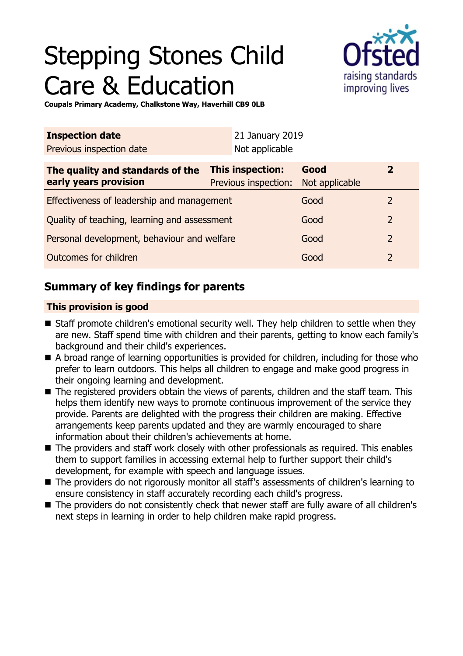# Stepping Stones Child Care & Education



**Coupals Primary Academy, Chalkstone Way, Haverhill CB9 0LB**

| <b>Inspection date</b>                                    |                                                 | 21 January 2019 |                        |              |  |
|-----------------------------------------------------------|-------------------------------------------------|-----------------|------------------------|--------------|--|
| Previous inspection date                                  |                                                 | Not applicable  |                        |              |  |
| The quality and standards of the<br>early years provision | <b>This inspection:</b><br>Previous inspection: |                 | Good<br>Not applicable | $\mathbf{2}$ |  |
| Effectiveness of leadership and management                |                                                 |                 | Good                   | 2            |  |
| Quality of teaching, learning and assessment              |                                                 |                 | Good                   | 2            |  |
| Personal development, behaviour and welfare               |                                                 |                 | Good                   | 2            |  |
| Outcomes for children                                     |                                                 |                 | Good                   | 2            |  |

## **Summary of key findings for parents**

## **This provision is good**

- Staff promote children's emotional security well. They help children to settle when they are new. Staff spend time with children and their parents, getting to know each family's background and their child's experiences.
- $\blacksquare$  A broad range of learning opportunities is provided for children, including for those who prefer to learn outdoors. This helps all children to engage and make good progress in their ongoing learning and development.
- The registered providers obtain the views of parents, children and the staff team. This helps them identify new ways to promote continuous improvement of the service they provide. Parents are delighted with the progress their children are making. Effective arrangements keep parents updated and they are warmly encouraged to share information about their children's achievements at home.
- $\blacksquare$  The providers and staff work closely with other professionals as required. This enables them to support families in accessing external help to further support their child's development, for example with speech and language issues.
- The providers do not rigorously monitor all staff's assessments of children's learning to ensure consistency in staff accurately recording each child's progress.
- The providers do not consistently check that newer staff are fully aware of all children's next steps in learning in order to help children make rapid progress.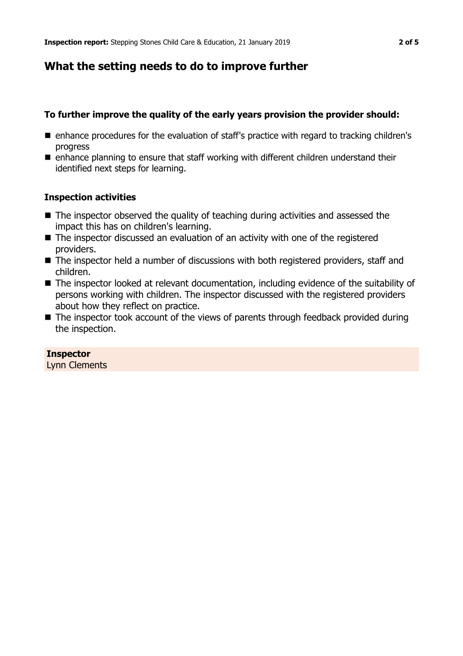## **What the setting needs to do to improve further**

## **To further improve the quality of the early years provision the provider should:**

- enhance procedures for the evaluation of staff's practice with regard to tracking children's progress
- $\blacksquare$  enhance planning to ensure that staff working with different children understand their identified next steps for learning.

## **Inspection activities**

- $\blacksquare$  The inspector observed the quality of teaching during activities and assessed the impact this has on children's learning.
- $\blacksquare$  The inspector discussed an evaluation of an activity with one of the registered providers.
- $\blacksquare$  The inspector held a number of discussions with both registered providers, staff and children.
- $\blacksquare$  The inspector looked at relevant documentation, including evidence of the suitability of persons working with children. The inspector discussed with the registered providers about how they reflect on practice.
- $\blacksquare$  The inspector took account of the views of parents through feedback provided during the inspection.

**Inspector** Lynn Clements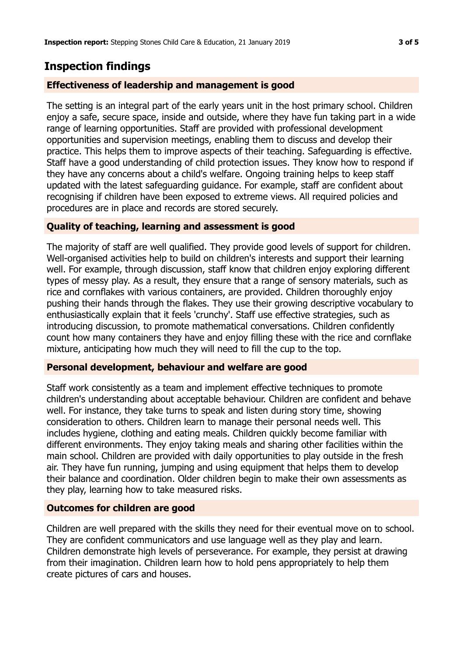## **Inspection findings**

### **Effectiveness of leadership and management is good**

The setting is an integral part of the early years unit in the host primary school. Children enjoy a safe, secure space, inside and outside, where they have fun taking part in a wide range of learning opportunities. Staff are provided with professional development opportunities and supervision meetings, enabling them to discuss and develop their practice. This helps them to improve aspects of their teaching. Safeguarding is effective. Staff have a good understanding of child protection issues. They know how to respond if they have any concerns about a child's welfare. Ongoing training helps to keep staff updated with the latest safeguarding guidance. For example, staff are confident about recognising if children have been exposed to extreme views. All required policies and procedures are in place and records are stored securely.

#### **Quality of teaching, learning and assessment is good**

The majority of staff are well qualified. They provide good levels of support for children. Well-organised activities help to build on children's interests and support their learning well. For example, through discussion, staff know that children enjoy exploring different types of messy play. As a result, they ensure that a range of sensory materials, such as rice and cornflakes with various containers, are provided. Children thoroughly enjoy pushing their hands through the flakes. They use their growing descriptive vocabulary to enthusiastically explain that it feels 'crunchy'. Staff use effective strategies, such as introducing discussion, to promote mathematical conversations. Children confidently count how many containers they have and enjoy filling these with the rice and cornflake mixture, anticipating how much they will need to fill the cup to the top.

#### **Personal development, behaviour and welfare are good**

Staff work consistently as a team and implement effective techniques to promote children's understanding about acceptable behaviour. Children are confident and behave well. For instance, they take turns to speak and listen during story time, showing consideration to others. Children learn to manage their personal needs well. This includes hygiene, clothing and eating meals. Children quickly become familiar with different environments. They enjoy taking meals and sharing other facilities within the main school. Children are provided with daily opportunities to play outside in the fresh air. They have fun running, jumping and using equipment that helps them to develop their balance and coordination. Older children begin to make their own assessments as they play, learning how to take measured risks.

#### **Outcomes for children are good**

Children are well prepared with the skills they need for their eventual move on to school. They are confident communicators and use language well as they play and learn. Children demonstrate high levels of perseverance. For example, they persist at drawing from their imagination. Children learn how to hold pens appropriately to help them create pictures of cars and houses.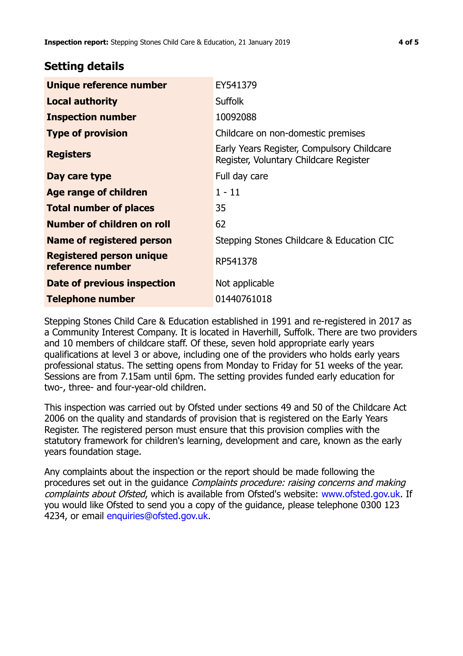## **Setting details**

| Unique reference number                             | EY541379                                                                             |  |
|-----------------------------------------------------|--------------------------------------------------------------------------------------|--|
| <b>Local authority</b>                              | <b>Suffolk</b>                                                                       |  |
| <b>Inspection number</b>                            | 10092088                                                                             |  |
| <b>Type of provision</b>                            | Childcare on non-domestic premises                                                   |  |
| <b>Registers</b>                                    | Early Years Register, Compulsory Childcare<br>Register, Voluntary Childcare Register |  |
| Day care type                                       | Full day care                                                                        |  |
| Age range of children                               | $1 - 11$                                                                             |  |
| <b>Total number of places</b>                       | 35                                                                                   |  |
| Number of children on roll                          | 62                                                                                   |  |
| Name of registered person                           | Stepping Stones Childcare & Education CIC                                            |  |
| <b>Registered person unique</b><br>reference number | RP541378                                                                             |  |
| Date of previous inspection                         | Not applicable                                                                       |  |
| <b>Telephone number</b>                             | 01440761018                                                                          |  |

Stepping Stones Child Care & Education established in 1991 and re-registered in 2017 as a Community Interest Company. It is located in Haverhill, Suffolk. There are two providers and 10 members of childcare staff. Of these, seven hold appropriate early years qualifications at level 3 or above, including one of the providers who holds early years professional status. The setting opens from Monday to Friday for 51 weeks of the year. Sessions are from 7.15am until 6pm. The setting provides funded early education for two-, three- and four-year-old children.

This inspection was carried out by Ofsted under sections 49 and 50 of the Childcare Act 2006 on the quality and standards of provision that is registered on the Early Years Register. The registered person must ensure that this provision complies with the statutory framework for children's learning, development and care, known as the early years foundation stage.

Any complaints about the inspection or the report should be made following the procedures set out in the guidance Complaints procedure: raising concerns and making complaints about Ofsted, which is available from Ofsted's website: www.ofsted.gov.uk. If you would like Ofsted to send you a copy of the guidance, please telephone 0300 123 4234, or email [enquiries@ofsted.gov.uk.](mailto:enquiries@ofsted.gov.uk)